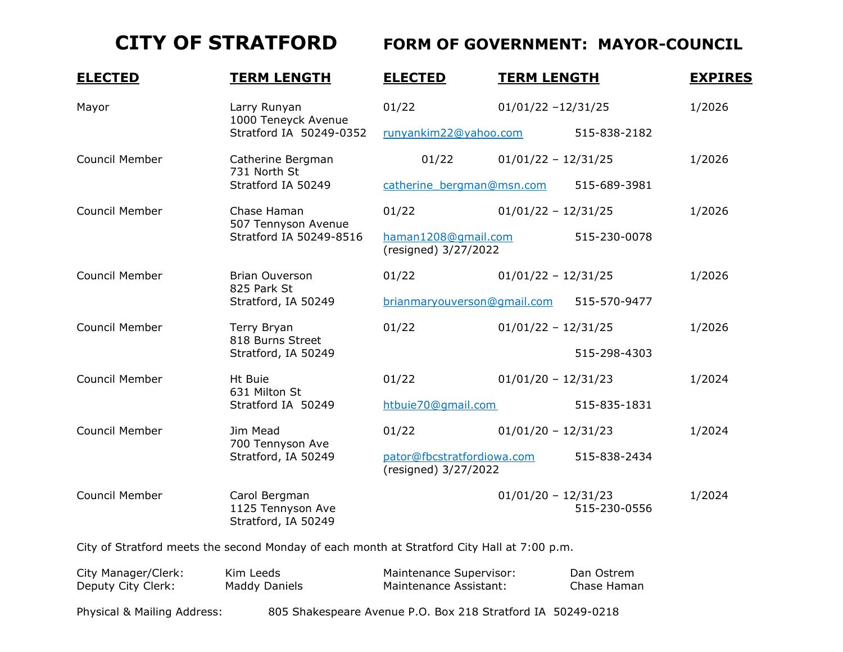## **CITY OF STRATFORD FORM OF GOVERNMENT: MAYOR-COUNCIL**

| <b>ELECTED</b>        | <b>TERM LENGTH</b>                                             | <b>ELECTED</b>                                                     | <b>TERM LENGTH</b>    |              | <b>EXPIRES</b> |
|-----------------------|----------------------------------------------------------------|--------------------------------------------------------------------|-----------------------|--------------|----------------|
| Mayor                 | Larry Runyan<br>1000 Teneyck Avenue<br>Stratford IA 50249-0352 | 01/22                                                              | $01/01/22 - 12/31/25$ |              | 1/2026         |
|                       |                                                                | runyankim22@yahoo.com                                              |                       | 515-838-2182 |                |
| Council Member        | Catherine Bergman<br>731 North St<br>Stratford IA 50249        | 01/22                                                              | $01/01/22 - 12/31/25$ |              | 1/2026         |
|                       |                                                                | catherine bergman@msn.com                                          |                       | 515-689-3981 |                |
| Council Member        | Chase Haman<br>507 Tennyson Avenue<br>Stratford IA 50249-8516  | 01/22                                                              | $01/01/22 - 12/31/25$ |              | 1/2026         |
|                       |                                                                | haman1208@qmail.com<br>(resigned) 3/27/2022                        |                       | 515-230-0078 |                |
| Council Member        | Brian Ouverson<br>825 Park St<br>Stratford, IA 50249           | 01/22                                                              | $01/01/22 - 12/31/25$ |              | 1/2026         |
|                       |                                                                | brianmaryouverson@qmail.com                                        |                       | 515-570-9477 |                |
| Council Member        | Terry Bryan<br>818 Burns Street<br>Stratford, IA 50249         | 01/22                                                              | $01/01/22 - 12/31/25$ |              | 1/2026         |
|                       |                                                                |                                                                    |                       | 515-298-4303 |                |
| Council Member        | Ht Buie<br>631 Milton St<br>Stratford IA 50249                 | 01/22                                                              | $01/01/20 - 12/31/23$ |              | 1/2024         |
|                       |                                                                | htbuie70@gmail.com                                                 |                       | 515-835-1831 |                |
| Council Member        | Jim Mead<br>700 Tennyson Ave<br>Stratford, IA 50249            | 01/22                                                              | $01/01/20 - 12/31/23$ |              | 1/2024         |
|                       |                                                                | pator@fbcstratfordiowa.com<br>515-838-2434<br>(resigned) 3/27/2022 |                       |              |                |
| <b>Council Member</b> | Carol Bergman<br>1125 Tennyson Ave<br>Stratford, IA 50249      |                                                                    | $01/01/20 - 12/31/23$ | 515-230-0556 | 1/2024         |
|                       |                                                                |                                                                    |                       |              |                |

City of Stratford meets the second Monday of each month at Stratford City Hall at 7:00 p.m.

| City Manager/Clerk: | Kim Leeds            | Maintenance Supervisor: | Dan Ostrem  |
|---------------------|----------------------|-------------------------|-------------|
| Deputy City Clerk:  | <b>Maddy Daniels</b> | Maintenance Assistant:  | Chase Haman |

Physical & Mailing Address: 805 Shakespeare Avenue P.O. Box 218 Stratford IA 50249-0218